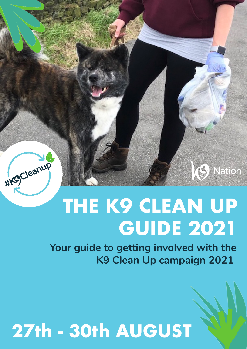# **THE K9 CLEAN UP GUIDE 2021**

**S** Nation

**Your guide to getting involved with the K9 Clean Up campaign 2021** 

# **27th - 30th AUGUST**

#KgCleanup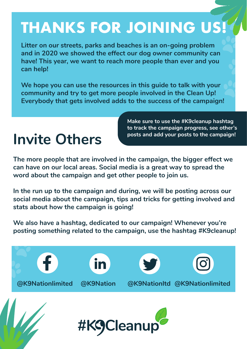# **THANKS FOR JOINING US!**

**Litter on our streets, parks and beaches is an on-going problem and in 2020 we showed the effect our dog owner community can have! This year, we want to reach more people than ever and you can help!**

**We hope you can use the resources in this guide to talk with your community and try to get more people involved in the Clean Up! Everybody that gets involved adds to the success of the campaign!**

## **Invite Others**

**Make sure to use the #K9cleanup hashtag to track the campaign progress, see other's posts and add your posts to the campaign!**

**The more people that are involved in the campaign, the bigger effect we can have on our local areas. Social media is a great way to spread the word about the campaign and get other people to join us.**

**In the run up to the campaign and during, we will be posting across our social media about the campaign, tips and tricks for getting involved and stats about how the campaign is going!**

**We also have a hashtag, dedicated to our campaign! Whenever you're posting something related to the campaign, use the hashtag #K9cleanup!**

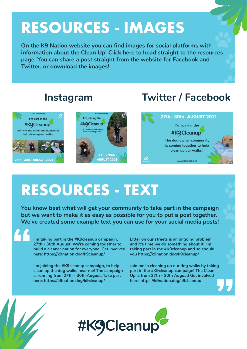# **RESOURCES - IMAGES**

information about the Clean Up! Click here to head straight to the resources **On the K9 Nation website you can find images for social platforms with page. You can share a post straight from the website for Facebook and Twitter, or download the images!** 

NN

I'm part of the

#KGCleanup

Join me and other dog owners to

help clean up our walks!

27th - 30th AUGUST 2021

#### **Instagram Twitter / Facebook**



## **RESOURCES - TEXT**

I'm joining the

#KGCleanup

27th - 30th

**AUGUST 2021** 

**" You know best what will get your community to take part in the campaign but we want to make it as easy as possible for you to put a post together. We've created some example text you can use for your social media posts!**

**I'm taking part in the #K9cleanup campaign, 27th - 30th August! We're coming together to build a cleaner nation for everyone! Get involved here: https://k9nation.dog/k9cleanup/** 

**I'm joining the #K9cleanup campaign, to help clean up the dog walks near me! The campaign is running from 27th - 30th August. Take part here: https://k9nation.dog/k9cleanup/** 

**Litter on our streets is an ongoing problem and it's time we do something about it! I'm taking part in the #K9cleanup and so should you https://k9nation.dog/k9cleanup/**

**" Join me in cleaning up our dog walks by taking part in the #K9cleanup campaign! The Clean Up is from 27th - 30th August! Get involved here: https://k9nation.dog/k9cleanup/**